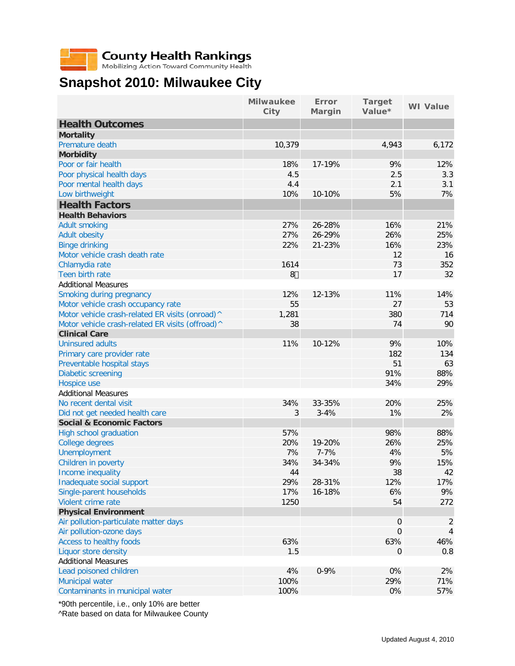## **County Health Rankings**<br>Mobilizing Action Toward Community Health

## **Snapshot 2010: Milwaukee City**

|                                                                                        | <b>Milwaukee</b><br>City | Error<br>Margin | <b>Target</b><br>Value* | <b>WI</b> Value |
|----------------------------------------------------------------------------------------|--------------------------|-----------------|-------------------------|-----------------|
| <b>Health Outcomes</b>                                                                 |                          |                 |                         |                 |
| <b>Mortality</b>                                                                       |                          |                 |                         |                 |
| Premature death                                                                        | 10,379                   |                 | 4,943                   | 6,172           |
| <b>Morbidity</b>                                                                       |                          |                 |                         |                 |
| Poor or fair health                                                                    | 18%                      | 17-19%          | 9%                      | 12%             |
| Poor physical health days                                                              | 4.5                      |                 | 2.5                     | 3.3             |
| Poor mental health days                                                                | 4.4                      |                 | 2.1                     | 3.1             |
| Low birthweight                                                                        | 10%                      | 10-10%          | 5%                      | 7%              |
| <b>Health Factors</b>                                                                  |                          |                 |                         |                 |
| <b>Health Behaviors</b>                                                                |                          |                 |                         |                 |
| <b>Adult smoking</b>                                                                   | 27%                      | 26-28%          | 16%                     | 21%             |
| <b>Adult obesity</b>                                                                   | 27%                      | 26-29%          | 26%                     | 25%             |
| <b>Binge drinking</b>                                                                  | 22%                      | 21-23%          | 16%                     | 23%             |
| Motor vehicle crash death rate                                                         |                          |                 | 12                      | 16              |
| Chlamydia rate                                                                         | 1614                     |                 | 73                      | 352             |
| Teen birth rate                                                                        | $8*$                     |                 | 17                      | 32              |
| <b>Additional Measures</b>                                                             |                          |                 |                         |                 |
| Smoking during pregnancy                                                               | 12%                      | 12-13%          | 11%                     | 14%             |
|                                                                                        | 55                       |                 | 27                      | 53              |
| Motor vehicle crash occupancy rate<br>Motor vehicle crash-related ER visits (onroad) ^ | 1,281                    |                 | 380                     | 714             |
|                                                                                        |                          |                 |                         |                 |
| Motor vehicle crash-related ER visits (offroad) ^                                      | 38                       |                 | 74                      | 90              |
| <b>Clinical Care</b>                                                                   |                          |                 |                         |                 |
| <b>Uninsured adults</b>                                                                | 11%                      | 10-12%          | 9%                      | 10%             |
| Primary care provider rate                                                             |                          |                 | 182                     | 134             |
| Preventable hospital stays                                                             |                          |                 | 51                      | 63              |
| <b>Diabetic screening</b>                                                              |                          |                 | 91%                     | 88%             |
| Hospice use                                                                            |                          |                 | 34%                     | 29%             |
| <b>Additional Measures</b>                                                             |                          |                 |                         |                 |
| No recent dental visit                                                                 | 34%                      | 33-35%          | 20%                     | 25%             |
| Did not get needed health care                                                         | 3                        | $3 - 4%$        | 1%                      | 2%              |
| <b>Social &amp; Economic Factors</b>                                                   |                          |                 |                         |                 |
| High school graduation                                                                 | 57%                      |                 | 98%                     | 88%             |
| College degrees                                                                        | 20%                      | 19-20%          | 26%                     | 25%             |
| <b>Unemployment</b>                                                                    | 7%                       | $7 - 7%$        | 4%                      | 5%              |
| Children in poverty                                                                    | 34%                      | 34-34%          | 9%                      | 15%             |
| Income inequality                                                                      | 44                       |                 | 38                      | 42              |
| Inadequate social support                                                              | 29%                      | 28-31%          | 12%                     | 17%             |
| Single-parent households                                                               | 17%                      | 16-18%          | 6%                      | 9%              |
| Violent crime rate                                                                     | 1250                     |                 | 54                      | 272             |
| <b>Physical Environment</b>                                                            |                          |                 |                         |                 |
| Air pollution-particulate matter days                                                  |                          |                 | $\boldsymbol{0}$        | 2               |
| Air pollution-ozone days                                                               |                          |                 | $\boldsymbol{0}$        | 4               |
| Access to healthy foods                                                                | 63%                      |                 | 63%                     | 46%             |
| Liquor store density                                                                   | 1.5                      |                 | 0                       | 0.8             |
| <b>Additional Measures</b>                                                             |                          |                 |                         |                 |
| Lead poisoned children                                                                 | 4%                       | $0 - 9%$        | 0%                      | 2%              |
| <b>Municipal water</b>                                                                 | 100%                     |                 | 29%                     | 71%             |
| Contaminants in municipal water                                                        | 100%                     |                 | 0%                      | 57%             |

\*90th percentile, i.e., only 10% are better ^Rate based on data for Milwaukee County